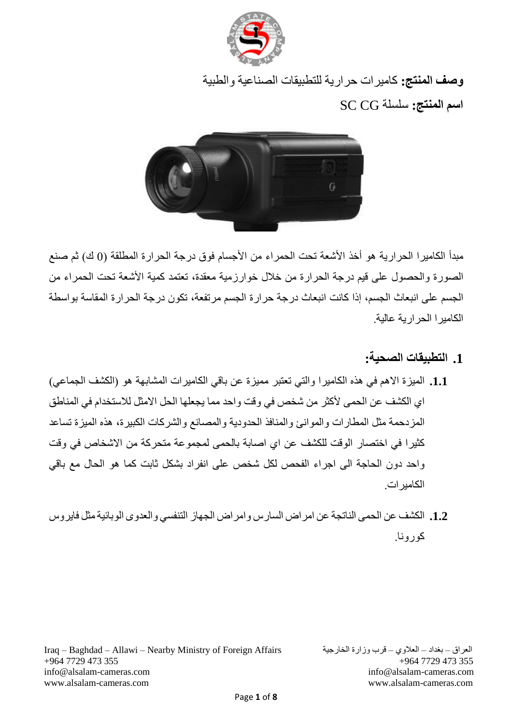

**وصف المنتج:** كاميرات حرارية للتطبيقات الصناعية والطبية **اسم المنتج:** سلسلة CG SC



مبدأ الكاميرا الحرارية هو أخذ الأشعة تحت الحمراء من الأجسام فوق درجة الحرارة المطلقة (0 ك) ثم صنع الصورة والحصول على قيم درجة الحرارة من خلال خوارزمية معقدة، تعتمد كمية الأشعة تحت الحمراء من الجسم على انبعاث الجسم، إذا كانت انبعاث درجة حرارة الجسم مرتفعة، تكون درجة الحرارة المقاسة بواسطة الكاميرا الحرارية عالية.

**.1 التطبيقات الصحية:**

- **.1.1** الميزة االهم في هذه الكاميرا والتي تعتبر مميزة عن باقي الكاميرات المشابهة هو )الكشف الجماعي( اي الكشف عن الحمى لأكثر من شخص في وقت واحد مما يجعلها الحل الامثل للاستخدام في المناطق المزدحمة مثل المطارات والموانئ والمنافذ الحدودية والمصانع والشركات الكبيرة، هذه الميزة تساعد كثيرا في اختصار الوقت للكشف عن اي اصابة بالحمى لمجموعة متحركة من االشخاص في وقت واحد دون الحاجة الى اجراء الفحص لكل شخص على انفراد بشكل ثابت كما هو الحال مع باقي الكاميرات.
- **.1.2** الكشف عن الحمى الناتجة عن امراض السارس وامراض الجهاز التنفسي والعدوى الوبائيةمثل فايروس كورونا.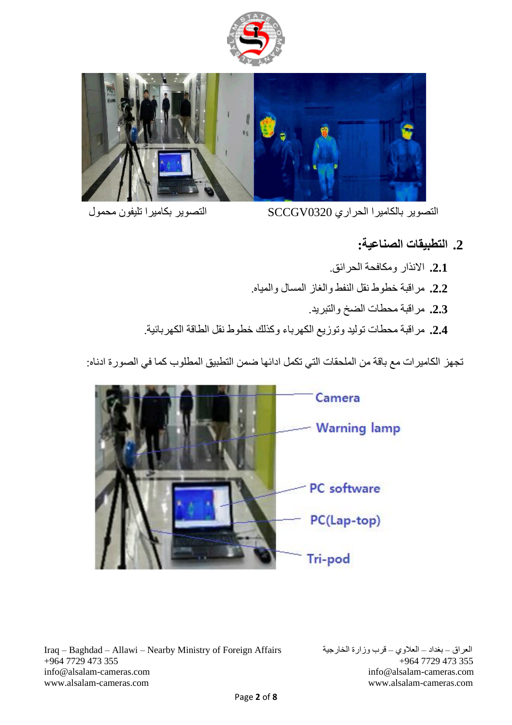



التصوير بالكاميرا الحراري 0320SCCGV التصوير بكاميرا تليفون محمول

## **.2 التطبيقات الصناعية:**

- **.2.1** االنذار ومكافحة الحرائق. **.2.2** مراقبة خطوط نقل النفط والغاز المسال والمياه. **.2.3** مراقبة محطات الضخ والتبريد.
	-
- **.2.4** مراقبة محطات توليد وتوزيع الكهرباء وكذلك خطوط نقل الطاقة الكهربائية.

تجهز الكاميرات مع باقة من الملحقات التي تكمل ادائها ضمن التطبيق المطلوب كما في الصورة ادناه:

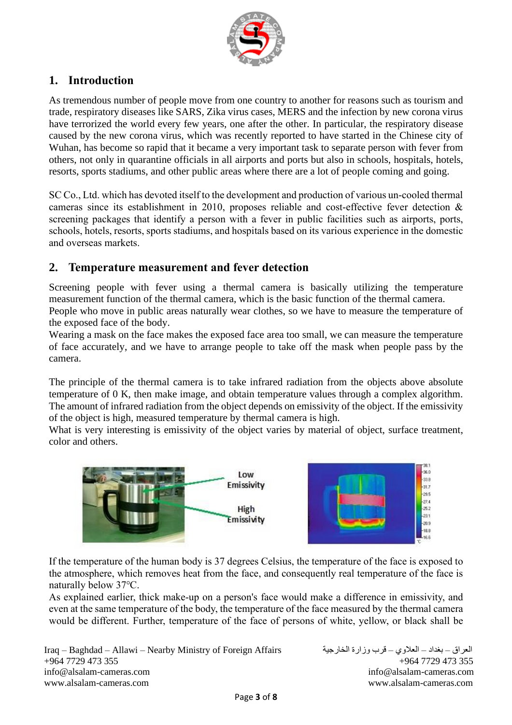

# **1. Introduction**

As tremendous number of people move from one country to another for reasons such as tourism and trade, respiratory diseases like SARS, Zika virus cases, MERS and the infection by new corona virus have terrorized the world every few years, one after the other. In particular, the respiratory disease caused by the new corona virus, which was recently reported to have started in the Chinese city of Wuhan, has become so rapid that it became a very important task to separate person with fever from others, not only in quarantine officials in all airports and ports but also in schools, hospitals, hotels, resorts, sports stadiums, and other public areas where there are a lot of people coming and going.

SC Co., Ltd. which has devoted itself to the development and production of various un-cooled thermal cameras since its establishment in 2010, proposes reliable and cost-effective fever detection & screening packages that identify a person with a fever in public facilities such as airports, ports, schools, hotels, resorts, sports stadiums, and hospitals based on its various experience in the domestic and overseas markets.

### **2. Temperature measurement and fever detection**

Screening people with fever using a thermal camera is basically utilizing the temperature measurement function of the thermal camera, which is the basic function of the thermal camera. People who move in public areas naturally wear clothes, so we have to measure the temperature of the exposed face of the body.

Wearing a mask on the face makes the exposed face area too small, we can measure the temperature of face accurately, and we have to arrange people to take off the mask when people pass by the camera.

The principle of the thermal camera is to take infrared radiation from the objects above absolute temperature of 0 K, then make image, and obtain temperature values through a complex algorithm. The amount of infrared radiation from the object depends on emissivity of the object. If the emissivity of the object is high, measured temperature by thermal camera is high.

What is very interesting is emissivity of the object varies by material of object, surface treatment, color and others.



If the temperature of the human body is 37 degrees Celsius, the temperature of the face is exposed to the atmosphere, which removes heat from the face, and consequently real temperature of the face is naturally below 37℃.

As explained earlier, thick make-up on a person's face would make a difference in emissivity, and even at the same temperature of the body, the temperature of the face measured by the thermal camera would be different. Further, temperature of the face of persons of white, yellow, or black shall be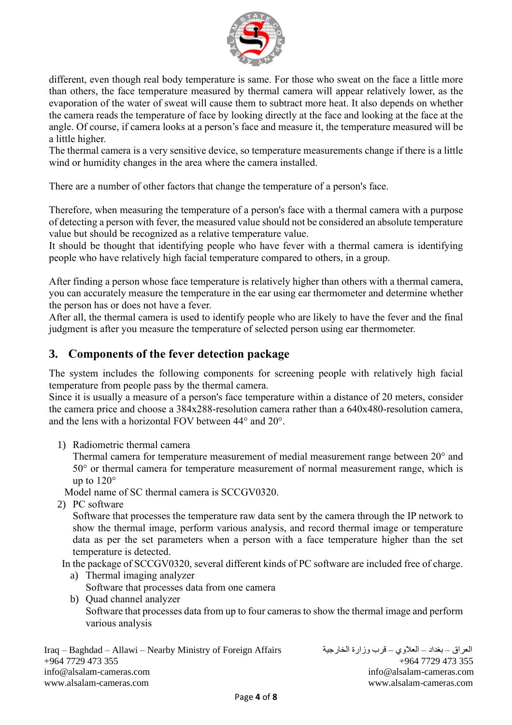

different, even though real body temperature is same. For those who sweat on the face a little more than others, the face temperature measured by thermal camera will appear relatively lower, as the evaporation of the water of sweat will cause them to subtract more heat. It also depends on whether the camera reads the temperature of face by looking directly at the face and looking at the face at the angle. Of course, if camera looks at a person's face and measure it, the temperature measured will be a little higher.

The thermal camera is a very sensitive device, so temperature measurements change if there is a little wind or humidity changes in the area where the camera installed.

There are a number of other factors that change the temperature of a person's face.

Therefore, when measuring the temperature of a person's face with a thermal camera with a purpose of detecting a person with fever, the measured value should not be considered an absolute temperature value but should be recognized as a relative temperature value.

It should be thought that identifying people who have fever with a thermal camera is identifying people who have relatively high facial temperature compared to others, in a group.

After finding a person whose face temperature is relatively higher than others with a thermal camera, you can accurately measure the temperature in the ear using ear thermometer and determine whether the person has or does not have a fever.

After all, the thermal camera is used to identify people who are likely to have the fever and the final judgment is after you measure the temperature of selected person using ear thermometer.

### **3. Components of the fever detection package**

The system includes the following components for screening people with relatively high facial temperature from people pass by the thermal camera.

Since it is usually a measure of a person's face temperature within a distance of 20 meters, consider the camera price and choose a 384x288-resolution camera rather than a 640x480-resolution camera, and the lens with a horizontal FOV between 44° and 20°.

1) Radiometric thermal camera

Thermal camera for temperature measurement of medial measurement range between 20° and 50° or thermal camera for temperature measurement of normal measurement range, which is up to  $120^\circ$ 

Model name of SC thermal camera is SCCGV0320.

2) PC software

Software that processes the temperature raw data sent by the camera through the IP network to show the thermal image, perform various analysis, and record thermal image or temperature data as per the set parameters when a person with a face temperature higher than the set temperature is detected.

In the package of SCCGV0320, several different kinds of PC software are included free of charge.

- a) Thermal imaging analyzer Software that processes data from one camera
- b) Quad channel analyzer Software that processes data from up to four cameras to show the thermal image and perform various analysis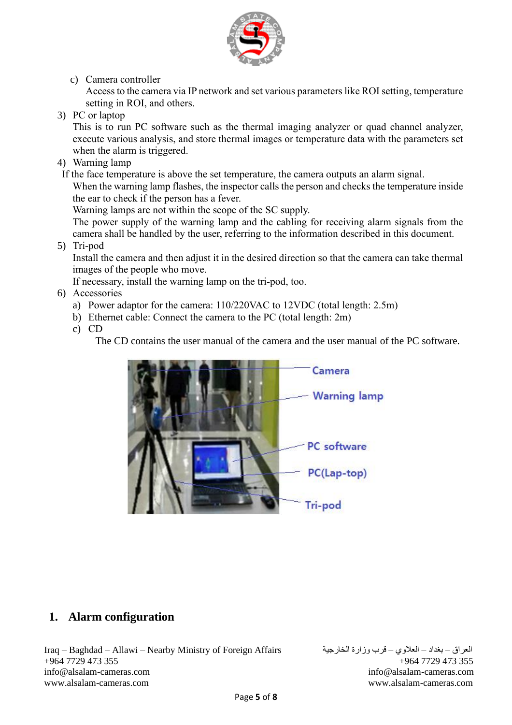

c) Camera controller

Access to the camera via IP network and set various parameters like ROI setting, temperature setting in ROI, and others.

3) PC or laptop

This is to run PC software such as the thermal imaging analyzer or quad channel analyzer, execute various analysis, and store thermal images or temperature data with the parameters set when the alarm is triggered.

4) Warning lamp

If the face temperature is above the set temperature, the camera outputs an alarm signal.

When the warning lamp flashes, the inspector calls the person and checks the temperature inside the ear to check if the person has a fever.

Warning lamps are not within the scope of the SC supply.

The power supply of the warning lamp and the cabling for receiving alarm signals from the camera shall be handled by the user, referring to the information described in this document.

5) Tri-pod

Install the camera and then adjust it in the desired direction so that the camera can take thermal images of the people who move.

If necessary, install the warning lamp on the tri-pod, too.

- 6) Accessories
	- a) Power adaptor for the camera: 110/220VAC to 12VDC (total length: 2.5m)
	- b) Ethernet cable: Connect the camera to the PC (total length: 2m)
	- c) CD

The CD contains the user manual of the camera and the user manual of the PC software.



### **1. Alarm configuration**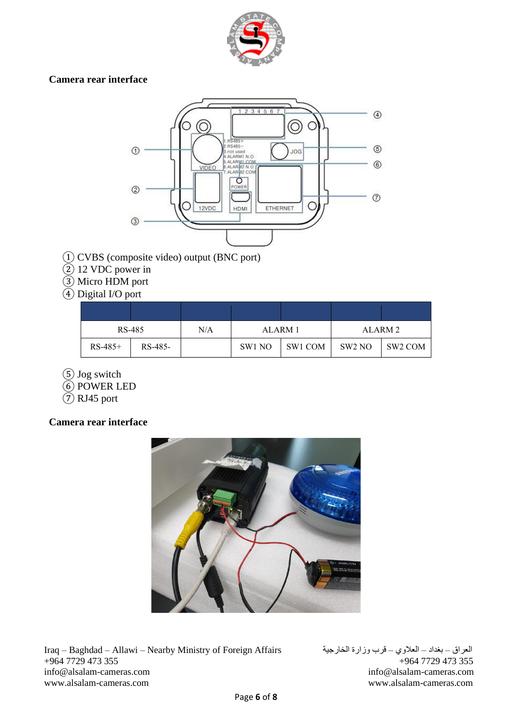

#### **Camera rear interface**



- ① CVBS (composite video) output (BNC port)
- ② 12 VDC power in
- ③ Micro HDM port
- ④ Digital I/O port

| RS-485    |         | N/A | ALARM 1 |         | ALARM <sub>2</sub> |         |
|-----------|---------|-----|---------|---------|--------------------|---------|
| $RS-485+$ | RS-485- |     | SW1 NO  | SW1 COM | SW <sub>2</sub> NO | SW2 COM |

- ⑤ Jog switch
- ⑥ POWER LED
- $\overline{2}$  RJ45 port

### **Camera rear interface**

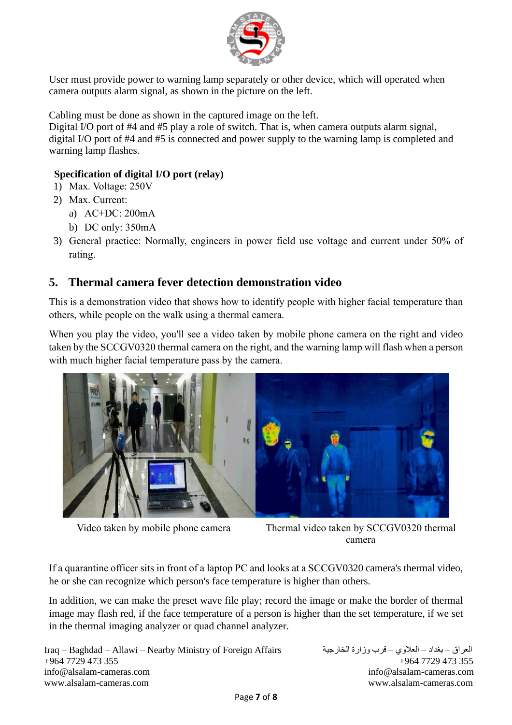

User must provide power to warning lamp separately or other device, which will operated when camera outputs alarm signal, as shown in the picture on the left.

Cabling must be done as shown in the captured image on the left.

Digital I/O port of #4 and #5 play a role of switch. That is, when camera outputs alarm signal, digital I/O port of #4 and #5 is connected and power supply to the warning lamp is completed and warning lamp flashes.

#### **Specification of digital I/O port (relay)**

- 1) Max. Voltage: 250V
- 2) Max. Current:
	- a) AC+DC: 200mA
	- b) DC only: 350mA
- 3) General practice: Normally, engineers in power field use voltage and current under 50% of rating.

### **5. Thermal camera fever detection demonstration video**

This is a demonstration video that shows how to identify people with higher facial temperature than others, while people on the walk using a thermal camera.

When you play the video, you'll see a video taken by mobile phone camera on the right and video taken by the SCCGV0320 thermal camera on the right, and the warning lamp will flash when a person with much higher facial temperature pass by the camera.



Video taken by mobile phone camera Thermal video taken by SCCGV0320 thermal camera

If a quarantine officer sits in front of a laptop PC and looks at a SCCGV0320 camera's thermal video, he or she can recognize which person's face temperature is higher than others.

In addition, we can make the preset wave file play; record the image or make the border of thermal image may flash red, if the face temperature of a person is higher than the set temperature, if we set in the thermal imaging analyzer or quad channel analyzer.